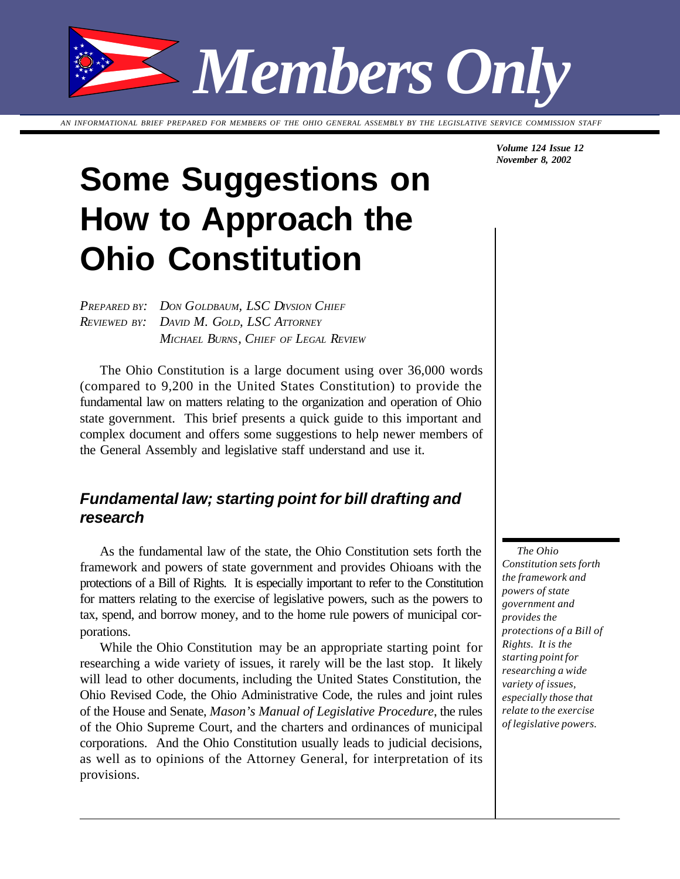*Members Only*

*AN INFORMATIONAL BRIEF PREPARED FOR MEMBERS OF THE OHIO GENERAL ASSEMBLY BY THE LEGISLATIVE SERVICE COMMISSION STAFF*

# **Some Suggestions on How to Approach the Ohio Constitution**

*PREPARED BY: DON GOLDBAUM, LSC DIVSION CHIEF REVIEWED BY: DAVID M. GOLD, LSC ATTORNEY MICHAEL BURNS, CHIEF OF LEGAL REVIEW*

The Ohio Constitution is a large document using over 36,000 words (compared to 9,200 in the United States Constitution) to provide the fundamental law on matters relating to the organization and operation of Ohio state government. This brief presents a quick guide to this important and complex document and offers some suggestions to help newer members of the General Assembly and legislative staff understand and use it.

## *Fundamental law; starting point for bill drafting and research*

As the fundamental law of the state, the Ohio Constitution sets forth the framework and powers of state government and provides Ohioans with the protections of a Bill of Rights. It is especially important to refer to the Constitution for matters relating to the exercise of legislative powers, such as the powers to tax, spend, and borrow money, and to the home rule powers of municipal corporations.

While the Ohio Constitution may be an appropriate starting point for researching a wide variety of issues, it rarely will be the last stop. It likely will lead to other documents, including the United States Constitution, the Ohio Revised Code, the Ohio Administrative Code, the rules and joint rules of the House and Senate, *Mason's Manual of Legislative Procedure*, the rules of the Ohio Supreme Court, and the charters and ordinances of municipal corporations. And the Ohio Constitution usually leads to judicial decisions, as well as to opinions of the Attorney General, for interpretation of its provisions.

*Volume 124 Issue 12 November 8, 2002*

*The Ohio Constitution sets forth the framework and powers of state government and provides the protections of a Bill of Rights. It is the starting point for researching a wide variety of issues, especially those that relate to the exercise of legislative powers.*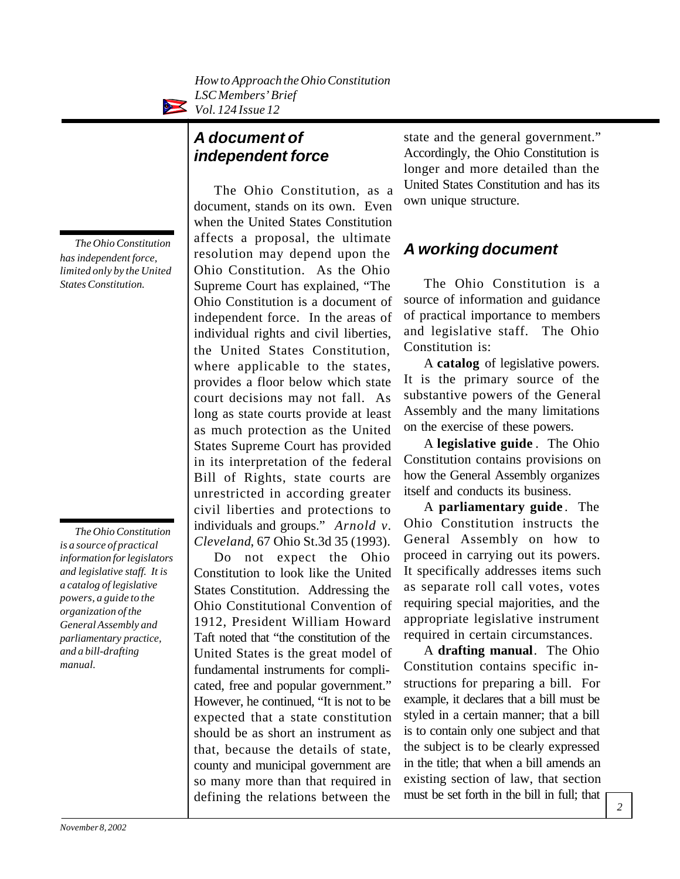*How to Approach the Ohio Constitution LSC Members' Brief Vol. 124 Issue 12*

# *A document of independent force*

The Ohio Constitution, as a document, stands on its own. Even when the United States Constitution affects a proposal, the ultimate resolution may depend upon the Ohio Constitution. As the Ohio Supreme Court has explained, "The Ohio Constitution is a document of independent force. In the areas of individual rights and civil liberties, the United States Constitution, where applicable to the states, provides a floor below which state court decisions may not fall. As long as state courts provide at least as much protection as the United States Supreme Court has provided in its interpretation of the federal Bill of Rights, state courts are unrestricted in according greater civil liberties and protections to individuals and groups." *Arnold v. Cleveland*, 67 Ohio St.3d 35 (1993).

Do not expect the Ohio Constitution to look like the United States Constitution. Addressing the Ohio Constitutional Convention of 1912, President William Howard Taft noted that "the constitution of the United States is the great model of fundamental instruments for complicated, free and popular government." However, he continued, "It is not to be expected that a state constitution should be as short an instrument as that, because the details of state, county and municipal government are so many more than that required in defining the relations between the

state and the general government." Accordingly, the Ohio Constitution is longer and more detailed than the United States Constitution and has its own unique structure.

## *A working document*

The Ohio Constitution is a source of information and guidance of practical importance to members and legislative staff. The Ohio Constitution is:

A **catalog** of legislative powers. It is the primary source of the substantive powers of the General Assembly and the many limitations on the exercise of these powers.

A **legislative guide** . The Ohio Constitution contains provisions on how the General Assembly organizes itself and conducts its business.

A **parliamentary guide** . The Ohio Constitution instructs the General Assembly on how to proceed in carrying out its powers. It specifically addresses items such as separate roll call votes, votes requiring special majorities, and the appropriate legislative instrument required in certain circumstances.

A **drafting manual**. The Ohio Constitution contains specific instructions for preparing a bill. For example, it declares that a bill must be styled in a certain manner; that a bill is to contain only one subject and that the subject is to be clearly expressed in the title; that when a bill amends an existing section of law, that section must be set forth in the bill in full; that

*The Ohio Constitution has independent force, limited only by the United States Constitution.*

*The Ohio Constitution is a source of practical information for legislators and legislative staff. It is a catalog of legislative powers, a guide to the organization of the General Assembly and parliamentary practice, and a bill-drafting manual.*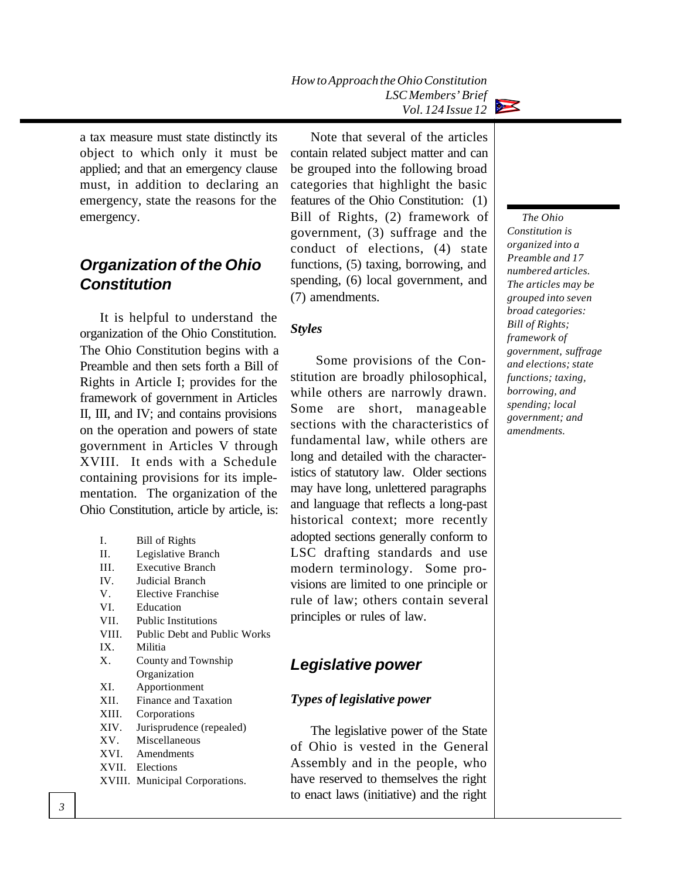*How to Approach the Ohio Constitution LSC Members' Brief Vol. 124 Issue 12*



a tax measure must state distinctly its object to which only it must be applied; and that an emergency clause must, in addition to declaring an emergency, state the reasons for the emergency.

## *Organization of the Ohio Constitution*

It is helpful to understand the organization of the Ohio Constitution. The Ohio Constitution begins with a Preamble and then sets forth a Bill of Rights in Article I; provides for the framework of government in Articles II, III, and IV; and contains provisions on the operation and powers of state government in Articles V through XVIII. It ends with a Schedule containing provisions for its implementation. The organization of the Ohio Constitution, article by article, is:

| L       | Bill of Rights                      |
|---------|-------------------------------------|
| H.      | Legislative Branch                  |
| III.    | <b>Executive Branch</b>             |
| IV.     | Judicial Branch                     |
| V.      | Elective Franchise                  |
| VI.     | Education                           |
| VII.    | <b>Public Institutions</b>          |
| VIII.   | <b>Public Debt and Public Works</b> |
| IX.     | Militia                             |
| $X_{-}$ | County and Township                 |
|         | Organization                        |
| XI.     | Apportionment                       |
| XII.    | Finance and Taxation                |
| XIII.   | Corporations                        |
| XIV.    | Jurisprudence (repealed)            |
| XV.     | Miscellaneous                       |
|         | XVI. Amendments                     |
|         | XVII. Elections                     |
| XVIII.  | Municipal Corporations.             |
|         |                                     |

Note that several of the articles contain related subject matter and can be grouped into the following broad categories that highlight the basic features of the Ohio Constitution: (1) Bill of Rights, (2) framework of government, (3) suffrage and the conduct of elections, (4) state functions, (5) taxing, borrowing, and spending, (6) local government, and (7) amendments.

#### *Styles*

 Some provisions of the Constitution are broadly philosophical, while others are narrowly drawn. Some are short, manageable sections with the characteristics of fundamental law, while others are long and detailed with the characteristics of statutory law. Older sections may have long, unlettered paragraphs and language that reflects a long-past historical context; more recently adopted sections generally conform to LSC drafting standards and use modern terminology. Some provisions are limited to one principle or rule of law; others contain several principles or rules of law.

### *Legislative power*

#### *Types of legislative power*

The legislative power of the State of Ohio is vested in the General Assembly and in the people, who have reserved to themselves the right to enact laws (initiative) and the right

*The Ohio Constitution is organized into a Preamble and 17 numbered articles. The articles may be grouped into seven broad categories: Bill of Rights; framework of government, suffrage and elections; state functions; taxing, borrowing, and spending; local government; and amendments.*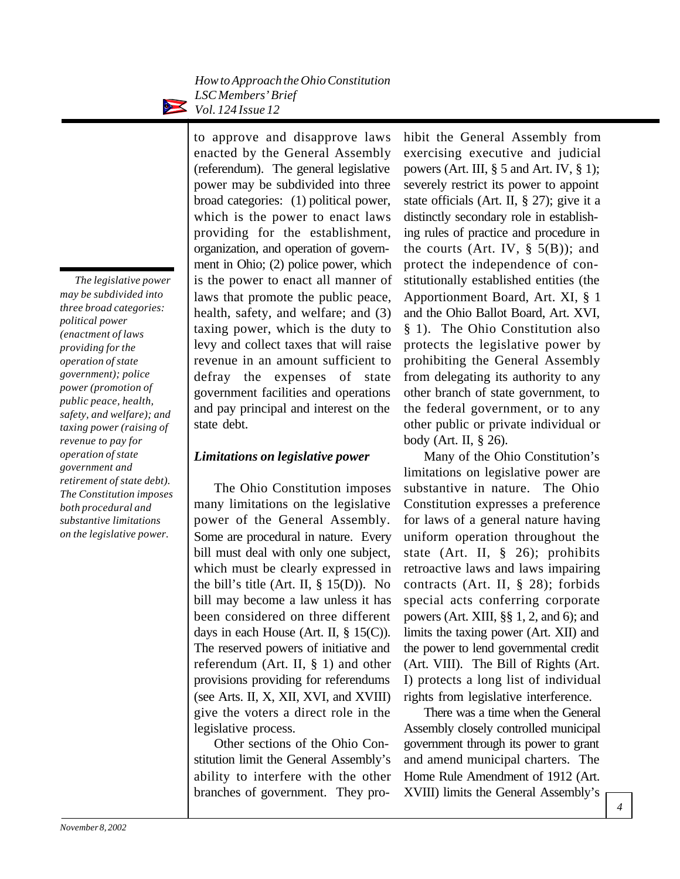*The legislative power may be subdivided into three broad categories: political power (enactment of laws providing for the operation of state government); police power (promotion of public peace, health, safety, and welfare); and taxing power (raising of revenue to pay for operation of state government and retirement of state debt). The Constitution imposes both procedural and substantive limitations on the legislative power.*

to approve and disapprove laws enacted by the General Assembly (referendum). The general legislative power may be subdivided into three broad categories: (1) political power, which is the power to enact laws providing for the establishment, organization, and operation of government in Ohio; (2) police power, which is the power to enact all manner of laws that promote the public peace, health, safety, and welfare; and (3) taxing power, which is the duty to levy and collect taxes that will raise revenue in an amount sufficient to defray the expenses of state government facilities and operations and pay principal and interest on the state debt.

#### *Limitations on legislative power*

The Ohio Constitution imposes many limitations on the legislative power of the General Assembly. Some are procedural in nature. Every bill must deal with only one subject, which must be clearly expressed in the bill's title (Art. II,  $\S$  15(D)). No bill may become a law unless it has been considered on three different days in each House (Art. II,  $\S$  15(C)). The reserved powers of initiative and referendum (Art. II, § 1) and other provisions providing for referendums (see Arts. II, X, XII, XVI, and XVIII) give the voters a direct role in the legislative process.

Other sections of the Ohio Constitution limit the General Assembly's ability to interfere with the other branches of government. They prohibit the General Assembly from exercising executive and judicial powers (Art. III, § 5 and Art. IV, § 1); severely restrict its power to appoint state officials (Art. II, § 27); give it a distinctly secondary role in establishing rules of practice and procedure in the courts (Art. IV,  $\S$  5(B)); and protect the independence of constitutionally established entities (the Apportionment Board, Art. XI, § 1 and the Ohio Ballot Board, Art. XVI, § 1). The Ohio Constitution also protects the legislative power by prohibiting the General Assembly from delegating its authority to any other branch of state government, to the federal government, or to any other public or private individual or body (Art. II, § 26).

Many of the Ohio Constitution's limitations on legislative power are substantive in nature. The Ohio Constitution expresses a preference for laws of a general nature having uniform operation throughout the state (Art. II, § 26); prohibits retroactive laws and laws impairing contracts (Art. II, § 28); forbids special acts conferring corporate powers (Art. XIII, §§ 1, 2, and 6); and limits the taxing power (Art. XII) and the power to lend governmental credit (Art. VIII). The Bill of Rights (Art. I) protects a long list of individual rights from legislative interference.

There was a time when the General Assembly closely controlled municipal government through its power to grant and amend municipal charters. The Home Rule Amendment of 1912 (Art. XVIII) limits the General Assembly's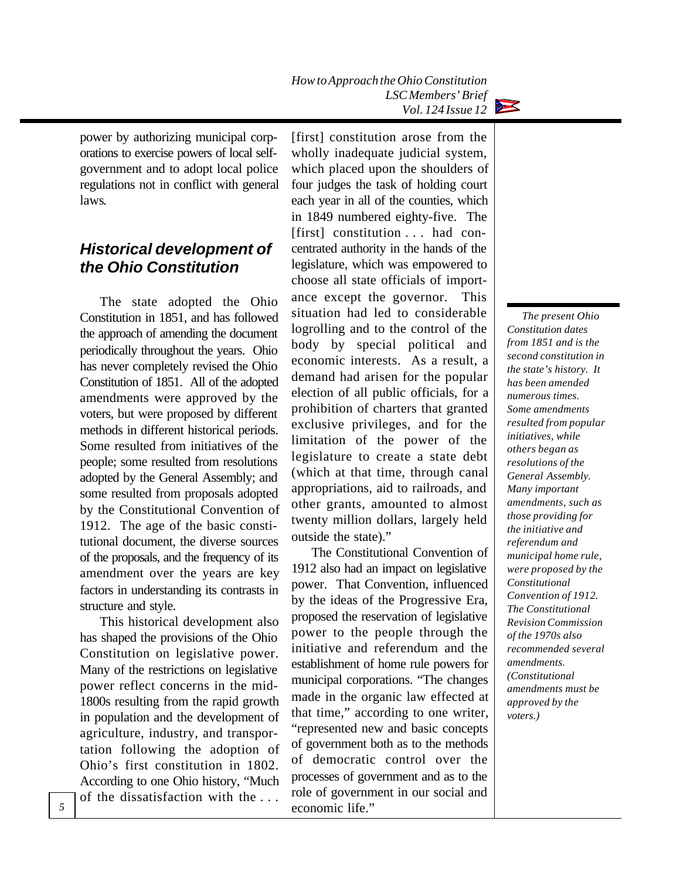

power by authorizing municipal corporations to exercise powers of local selfgovernment and to adopt local police regulations not in conflict with general laws.

## *Historical development of the Ohio Constitution*

The state adopted the Ohio Constitution in 1851, and has followed the approach of amending the document periodically throughout the years. Ohio has never completely revised the Ohio Constitution of 1851. All of the adopted amendments were approved by the voters, but were proposed by different methods in different historical periods. Some resulted from initiatives of the people; some resulted from resolutions adopted by the General Assembly; and some resulted from proposals adopted by the Constitutional Convention of 1912. The age of the basic constitutional document, the diverse sources of the proposals, and the frequency of its amendment over the years are key factors in understanding its contrasts in structure and style.

This historical development also has shaped the provisions of the Ohio Constitution on legislative power. Many of the restrictions on legislative power reflect concerns in the mid-1800s resulting from the rapid growth in population and the development of agriculture, industry, and transportation following the adoption of Ohio's first constitution in 1802. According to one Ohio history, "Much of the dissatisfaction with the . . .

[first] constitution arose from the wholly inadequate judicial system, which placed upon the shoulders of four judges the task of holding court each year in all of the counties, which in 1849 numbered eighty-five. The [first] constitution . . . had concentrated authority in the hands of the legislature, which was empowered to choose all state officials of importance except the governor. This situation had led to considerable logrolling and to the control of the body by special political and economic interests. As a result, a demand had arisen for the popular election of all public officials, for a prohibition of charters that granted exclusive privileges, and for the limitation of the power of the legislature to create a state debt (which at that time, through canal appropriations, aid to railroads, and other grants, amounted to almost twenty million dollars, largely held outside the state)."

The Constitutional Convention of 1912 also had an impact on legislative power. That Convention, influenced by the ideas of the Progressive Era, proposed the reservation of legislative power to the people through the initiative and referendum and the establishment of home rule powers for municipal corporations. "The changes made in the organic law effected at that time," according to one writer, "represented new and basic concepts of government both as to the methods of democratic control over the processes of government and as to the role of government in our social and economic life."

*The present Ohio Constitution dates from 1851 and is the second constitution in the state's history. It has been amended numerous times. Some amendments resulted from popular initiatives, while others began as resolutions of the General Assembly. Many important amendments, such as those providing for the initiative and referendum and municipal home rule, were proposed by the Constitutional Convention of 1912. The Constitutional Revision Commission of the 1970s also recommended several amendments. (Constitutional amendments must be approved by the voters.)*